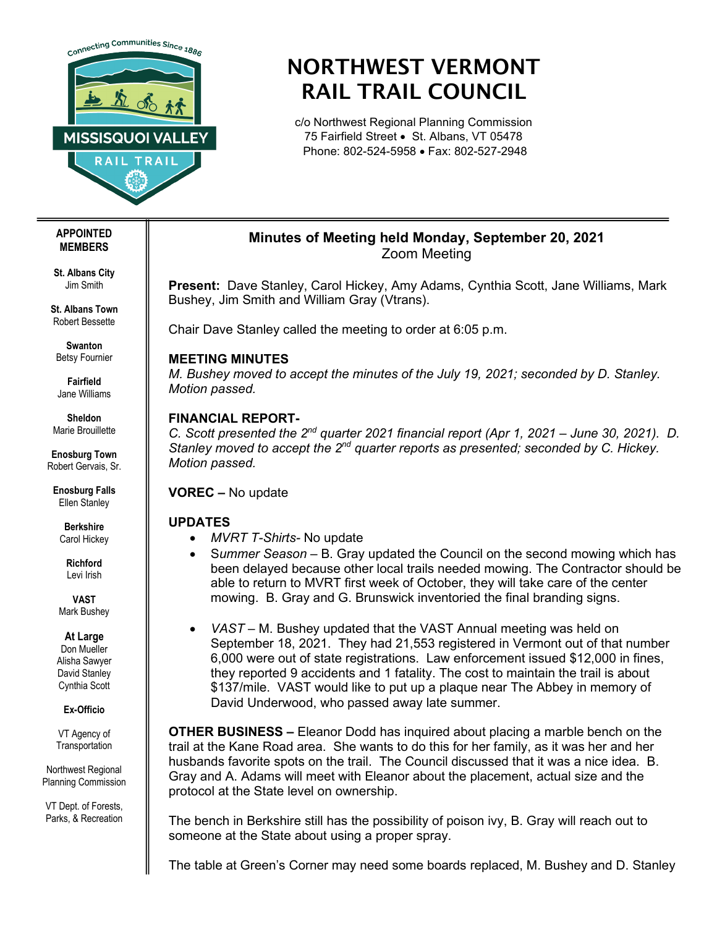

# NORTHWEST VERMONT RAIL TRAIL COUNCIL

c/o Northwest Regional Planning Commission 75 Fairfield Street • St. Albans, VT 05478 Phone: 802-524-5958 • Fax: 802-527-2948

#### **APPOINTED MEMBERS**

**St. Albans City** Jim Smith

**St. Albans Town** Robert Bessette

**Swanton** Betsy Fournier

**Fairfield** Jane Williams

**Sheldon** Marie Brouillette

**Enosburg Town** Robert Gervais, Sr.

**Enosburg Falls** Ellen Stanley

> **Berkshire** Carol Hickey

**Richford** Levi Irish

**VAST** Mark Bushey

**At Large**

Don Mueller Alisha Sawyer David Stanley Cynthia Scott

**Ex-Officio**

VT Agency of **Transportation** 

Northwest Regional Planning Commission

VT Dept. of Forests, Parks, & Recreation

# **Minutes of Meeting held Monday, September 20, 2021** Zoom Meeting

**Present:** Dave Stanley, Carol Hickey, Amy Adams, Cynthia Scott, Jane Williams, Mark Bushey, Jim Smith and William Gray (Vtrans).

Chair Dave Stanley called the meeting to order at 6:05 p.m.

### **MEETING MINUTES**

*M. Bushey moved to accept the minutes of the July 19, 2021; seconded by D. Stanley. Motion passed.* 

### **FINANCIAL REPORT-**

*C. Scott presented the 2nd quarter 2021 financial report (Apr 1, 2021 – June 30, 2021). D. Stanley moved to accept the 2nd quarter reports as presented; seconded by C. Hickey. Motion passed.*

**VOREC –** No update

## **UPDATES**

- *MVRT T-Shirts-* No update
- S*ummer Season –* B. Gray updated the Council on the second mowing which has been delayed because other local trails needed mowing. The Contractor should be able to return to MVRT first week of October, they will take care of the center mowing. B. Gray and G. Brunswick inventoried the final branding signs.
- *VAST –* M. Bushey updated that the VAST Annual meeting was held on September 18, 2021. They had 21,553 registered in Vermont out of that number 6,000 were out of state registrations. Law enforcement issued \$12,000 in fines, they reported 9 accidents and 1 fatality. The cost to maintain the trail is about \$137/mile. VAST would like to put up a plaque near The Abbey in memory of David Underwood, who passed away late summer.

**OTHER BUSINESS –** Eleanor Dodd has inquired about placing a marble bench on the trail at the Kane Road area. She wants to do this for her family, as it was her and her husbands favorite spots on the trail. The Council discussed that it was a nice idea. B. Gray and A. Adams will meet with Eleanor about the placement, actual size and the protocol at the State level on ownership.

The bench in Berkshire still has the possibility of poison ivy, B. Gray will reach out to someone at the State about using a proper spray.

The table at Green's Corner may need some boards replaced, M. Bushey and D. Stanley